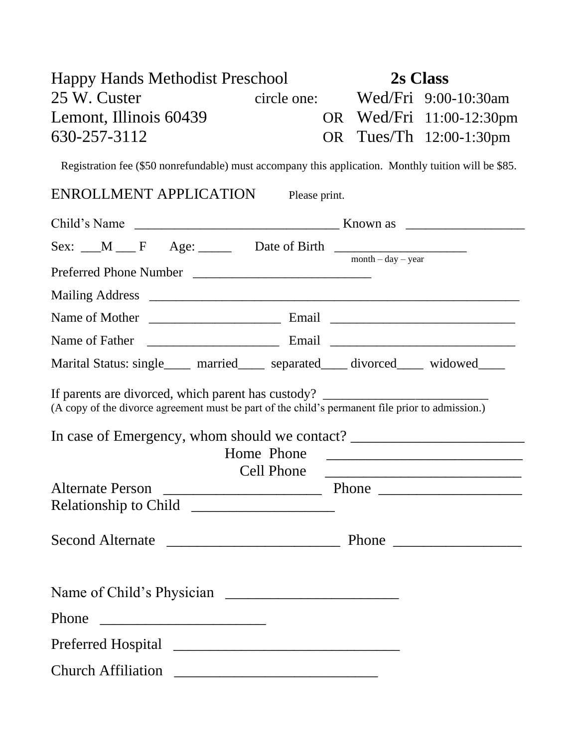| <b>Happy Hands Methodist Preschool</b> |             | 2s Class |                          |
|----------------------------------------|-------------|----------|--------------------------|
| 25 W. Custer                           | circle one: |          | Wed/Fri 9:00-10:30am     |
| Lemont, Illinois 60439                 |             |          | OR Wed/Fri 11:00-12:30pm |
| 630-257-3112                           |             |          | OR Tues/Th 12:00-1:30pm  |

Registration fee (\$50 nonrefundable) must accompany this application. Monthly tuition will be \$85.

## ENROLLMENT APPLICATION Please print.

| Sex: $\text{M}$ F Age: Date of Birth $\text{M}$                                                  | $month - day - year$ |
|--------------------------------------------------------------------------------------------------|----------------------|
|                                                                                                  |                      |
|                                                                                                  |                      |
|                                                                                                  |                      |
|                                                                                                  |                      |
| Marital Status: single____ married____ separated___ divorced___ widowed___                       |                      |
| (A copy of the divorce agreement must be part of the child's permanent file prior to admission.) |                      |
| In case of Emergency, whom should we contact? ___________________________________<br>Home Phone  |                      |
| Cell Phone<br><b>Alternate Person</b>                                                            |                      |
|                                                                                                  |                      |
|                                                                                                  |                      |
|                                                                                                  |                      |
| Phone                                                                                            |                      |
|                                                                                                  |                      |
| <b>Church Affiliation</b>                                                                        |                      |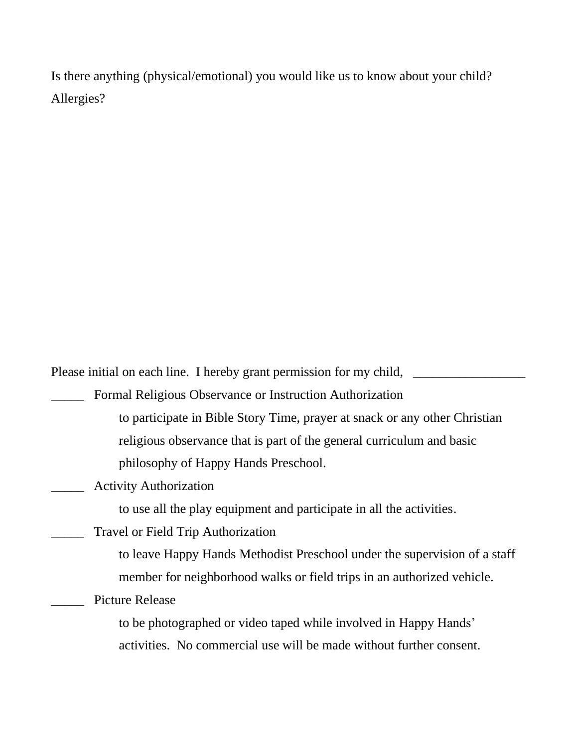Is there anything (physical/emotional) you would like us to know about your child? Allergies?

Please initial on each line. I hereby grant permission for my child, \_\_\_\_\_\_\_\_\_\_\_

Formal Religious Observance or Instruction Authorization to participate in Bible Story Time, prayer at snack or any other Christian religious observance that is part of the general curriculum and basic philosophy of Happy Hands Preschool.

Activity Authorization

to use all the play equipment and participate in all the activities.

\_\_\_\_\_ Travel or Field Trip Authorization

to leave Happy Hands Methodist Preschool under the supervision of a staff member for neighborhood walks or field trips in an authorized vehicle.

Picture Release

to be photographed or video taped while involved in Happy Hands' activities. No commercial use will be made without further consent.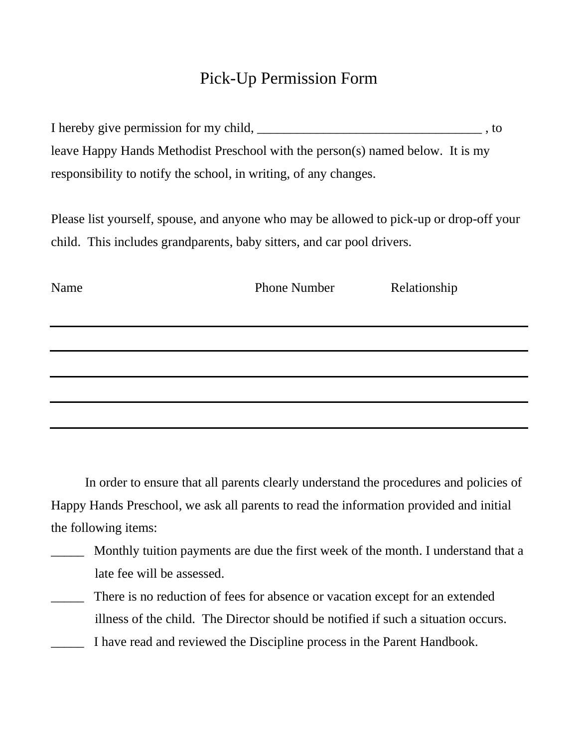## Pick-Up Permission Form

| I hereby give permission for my child,                                         | . to |
|--------------------------------------------------------------------------------|------|
| leave Happy Hands Methodist Preschool with the person(s) named below. It is my |      |
| responsibility to notify the school, in writing, of any changes.               |      |

Please list yourself, spouse, and anyone who may be allowed to pick-up or drop-off your child. This includes grandparents, baby sitters, and car pool drivers.

| Name | <b>Phone Number</b> | Relationship |  |
|------|---------------------|--------------|--|
|      |                     |              |  |
|      |                     |              |  |
|      |                     |              |  |
|      |                     |              |  |
|      |                     |              |  |
|      |                     |              |  |

In order to ensure that all parents clearly understand the procedures and policies of Happy Hands Preschool, we ask all parents to read the information provided and initial the following items:

- \_\_\_\_\_ Monthly tuition payments are due the first week of the month. I understand that a late fee will be assessed.
- There is no reduction of fees for absence or vacation except for an extended illness of the child. The Director should be notified if such a situation occurs.
- I have read and reviewed the Discipline process in the Parent Handbook.